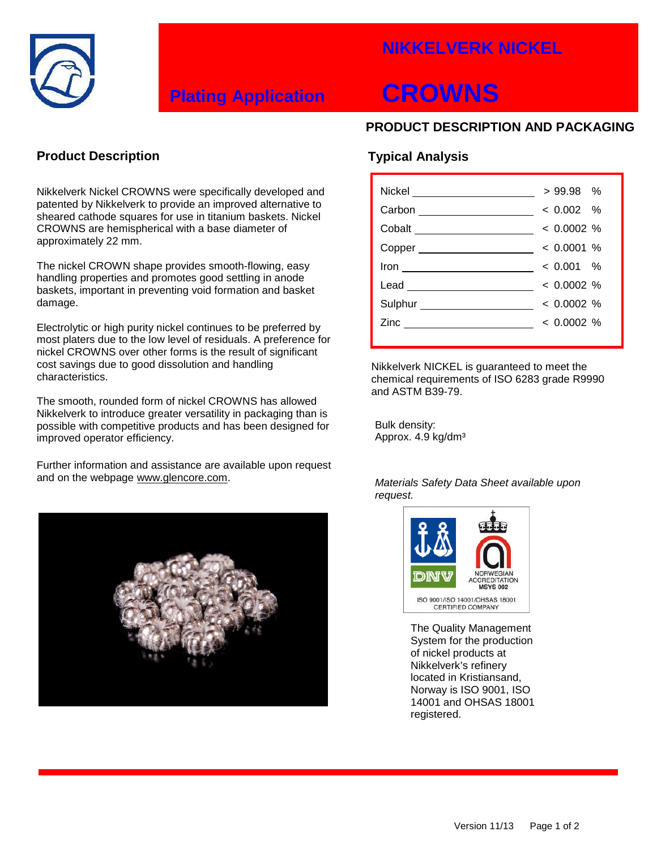### **NIKKELVERK NICKEL**



## **Plating Application CROWNS**

#### **PRODUCT DESCRIPTION AND PACKAGING**

#### **Product Description**

Nikkelverk Nickel CROWNS were specifically developed and patented by Nikkelverk to provide an improved alternative to sheared cathode squares for use in titanium baskets. Nickel CROWNS are hemispherical with a base diameter of approximately 22 mm.

The nickel CROWN shape provides smooth-flowing, easy handling properties and promotes good settling in anode baskets, important in preventing void formation and basket damage.

Electrolytic or high purity nickel continues to be preferred by most platers due to the low level of residuals. A preference for nickel CROWNS over other forms is the result of significant cost savings due to good dissolution and handling characteristics.

The smooth, rounded form of nickel CROWNS has allowed Nikkelverk to introduce greater versatility in packaging than is possible with competitive products and has been designed for improved operator efficiency.

Further information and assistance are available upon request and on the webpage www.glencore.com.



### **Typical Analysis**

| Nickel _____________           | $>99.98$ %   |
|--------------------------------|--------------|
| Carbon ___________________     | $< 0.002$ %  |
| Cobalt ______________________  | $< 0.0002$ % |
| Copper ______________________  | $< 0.0001$ % |
|                                | $< 0.001$ %  |
|                                | $< 0.0002$ % |
| Sulphur ______________________ | $< 0.0002$ % |
| Zinc $\qquad \qquad$           | $< 0.0002$ % |
|                                |              |

Nikkelverk NICKEL is guaranteed to meet the chemical requirements of ISO 6283 grade R9990 and ASTM B39-79.

Bulk density: Approx. 4.9 kg/dm<sup>3</sup>

*Materials Safety Data Sheet available upon request.*



The Quality Management System for the production of nickel products at Nikkelverk's refinery located in Kristiansand, Norway is ISO 9001, ISO 14001 and OHSAS 18001 registered.